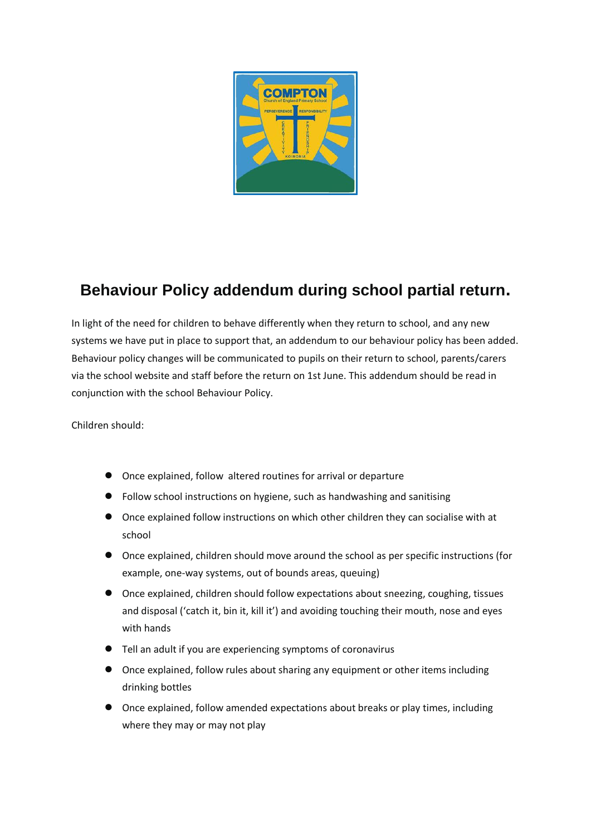

## **Behaviour Policy addendum during school partial return.**

In light of the need for children to behave differently when they return to school, and any new systems we have put in place to support that, an addendum to our behaviour policy has been added. Behaviour policy changes will be communicated to pupils on their return to school, parents/carers via the school website and staff before the return on 1st June. This addendum should be read in conjunction with the school Behaviour Policy.

Children should:

- Once explained, follow altered routines for arrival or departure
- Follow school instructions on hygiene, such as handwashing and sanitising
- Once explained follow instructions on which other children they can socialise with at school
- Once explained, children should move around the school as per specific instructions (for example, one-way systems, out of bounds areas, queuing)
- Once explained, children should follow expectations about sneezing, coughing, tissues and disposal ('catch it, bin it, kill it') and avoiding touching their mouth, nose and eyes with hands
- Tell an adult if you are experiencing symptoms of coronavirus
- Once explained, follow rules about sharing any equipment or other items including drinking bottles
- Once explained, follow amended expectations about breaks or play times, including where they may or may not play